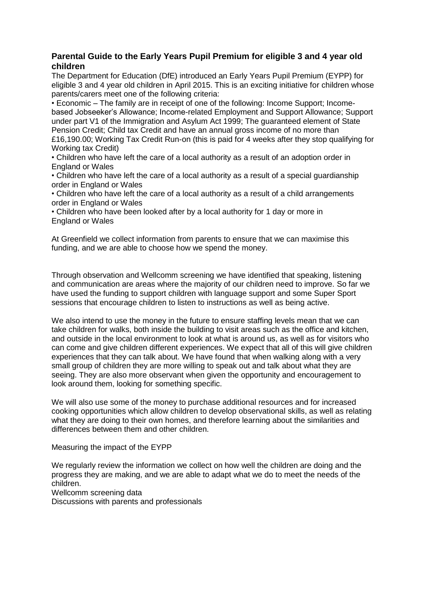## **Parental Guide to the Early Years Pupil Premium for eligible 3 and 4 year old children**

The Department for Education (DfE) introduced an Early Years Pupil Premium (EYPP) for eligible 3 and 4 year old children in April 2015. This is an exciting initiative for children whose parents/carers meet one of the following criteria:

• Economic – The family are in receipt of one of the following: Income Support; Incomebased Jobseeker's Allowance; Income-related Employment and Support Allowance; Support under part V1 of the Immigration and Asylum Act 1999; The guaranteed element of State Pension Credit; Child tax Credit and have an annual gross income of no more than £16,190.00; Working Tax Credit Run-on (this is paid for 4 weeks after they stop qualifying for Working tax Credit)

• Children who have left the care of a local authority as a result of an adoption order in England or Wales

• Children who have left the care of a local authority as a result of a special guardianship order in England or Wales

• Children who have left the care of a local authority as a result of a child arrangements order in England or Wales

• Children who have been looked after by a local authority for 1 day or more in England or Wales

At Greenfield we collect information from parents to ensure that we can maximise this funding, and we are able to choose how we spend the money.

Through observation and Wellcomm screening we have identified that speaking, listening and communication are areas where the majority of our children need to improve. So far we have used the funding to support children with language support and some Super Sport sessions that encourage children to listen to instructions as well as being active.

We also intend to use the money in the future to ensure staffing levels mean that we can take children for walks, both inside the building to visit areas such as the office and kitchen, and outside in the local environment to look at what is around us, as well as for visitors who can come and give children different experiences. We expect that all of this will give children experiences that they can talk about. We have found that when walking along with a very small group of children they are more willing to speak out and talk about what they are seeing. They are also more observant when given the opportunity and encouragement to look around them, looking for something specific.

We will also use some of the money to purchase additional resources and for increased cooking opportunities which allow children to develop observational skills, as well as relating what they are doing to their own homes, and therefore learning about the similarities and differences between them and other children.

Measuring the impact of the EYPP

We regularly review the information we collect on how well the children are doing and the progress they are making, and we are able to adapt what we do to meet the needs of the children.

Wellcomm screening data

Discussions with parents and professionals